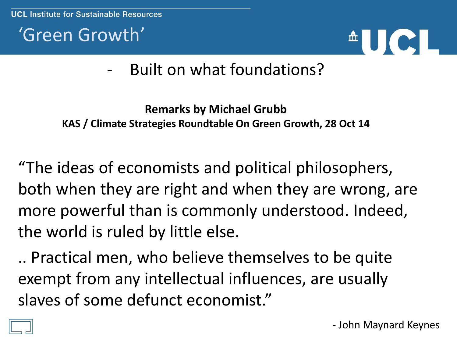



Built on what foundations?

**Remarks by Michael Grubb KAS / Climate Strategies Roundtable On Green Growth, 28 Oct 14** 

"The ideas of economists and political philosophers, both when they are right and when they are wrong, are more powerful than is commonly understood. Indeed, the world is ruled by little else.

.. Practical men, who believe themselves to be quite exempt from any intellectual influences, are usually slaves of some defunct economist."

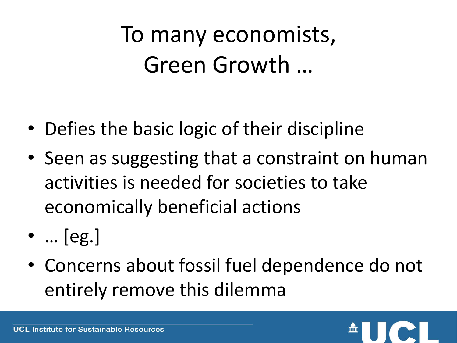To many economists, Green Growth …

- Defies the basic logic of their discipline
- Seen as suggesting that a constraint on human activities is needed for societies to take economically beneficial actions
- … [eg.]
- Concerns about fossil fuel dependence do not entirely remove this dilemma

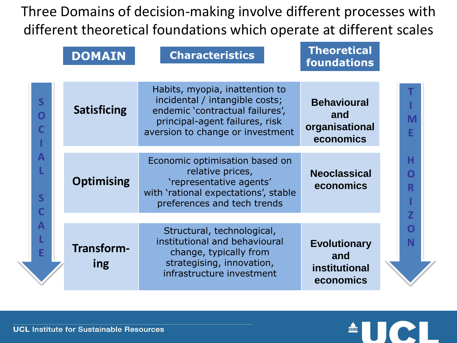Three Domains of decision-making involve different processes with different theoretical foundations which operate at different scales

|                                                                          | <b>DOMAIN</b>            | <b>Characteristics</b>                                                                                                                                                    | <b>Theoretical</b><br>foundations                        |                               |
|--------------------------------------------------------------------------|--------------------------|---------------------------------------------------------------------------------------------------------------------------------------------------------------------------|----------------------------------------------------------|-------------------------------|
| S<br>$\overline{O}$<br>C<br>$\mathbf{A}$<br>$\overline{\mathbf{S}}$<br>C | <b>Satisficing</b>       | Habits, myopia, inattention to<br>incidental / intangible costs;<br>endemic 'contractual failures',<br>principal-agent failures, risk<br>aversion to change or investment | <b>Behavioural</b><br>and<br>organisational<br>economics | M<br>E                        |
|                                                                          | <b>Optimising</b>        | Economic optimisation based on<br>relative prices,<br>'representative agents'<br>with 'rational expectations', stable<br>preferences and tech trends                      | <b>Neoclassical</b><br>economics                         | н<br>O<br>R<br>$\overline{z}$ |
| $\mathbf{A}$<br>E                                                        | <b>Transform-</b><br>ing | Structural, technological,<br>institutional and behavioural<br>change, typically from<br>strategising, innovation,<br>infrastructure investment                           | <b>Evolutionary</b><br>and<br>institutional<br>economics | O<br>N                        |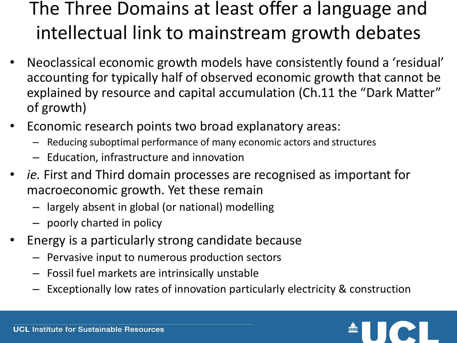## The Three Domains at least offer a language and intellectual link to mainstream growth debates

- Neoclassical economic growth models have consistently found a 'residual' accounting for typically half of observed economic growth that cannot be explained by resource and capital accumulation (Ch.11 the "Dark Matter" of growth)
- Economic research points two broad explanatory areas:
	- Reducing suboptimal performance of many economic actors and structures
	- Education, infrastructure and innovation
- *ie.* First and Third domain processes are recognised as important for macroeconomic growth. Yet these remain
	- largely absent in global (or national) modelling
	- poorly charted in policy
- Energy is a particularly strong candidate because
	- Pervasive input to numerous production sectors
	- Fossil fuel markets are intrinsically unstable
	- Exceptionally low rates of innovation particularly electricity & construction

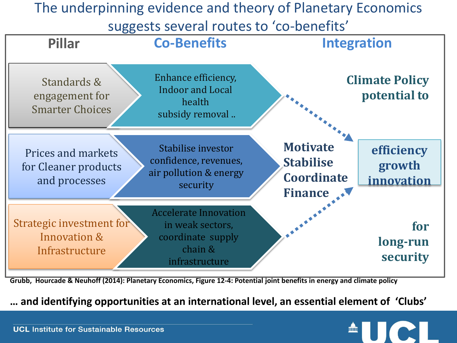

Grubb, Hourcade & Neuhoff (2014): Planetary Economics, Figure 12-4: Potential joint benefits in energy and climate policy

**… and identifying opportunities at an international level, an essential element of 'Clubs'**



**UCL Institute for Sustainable Resources**